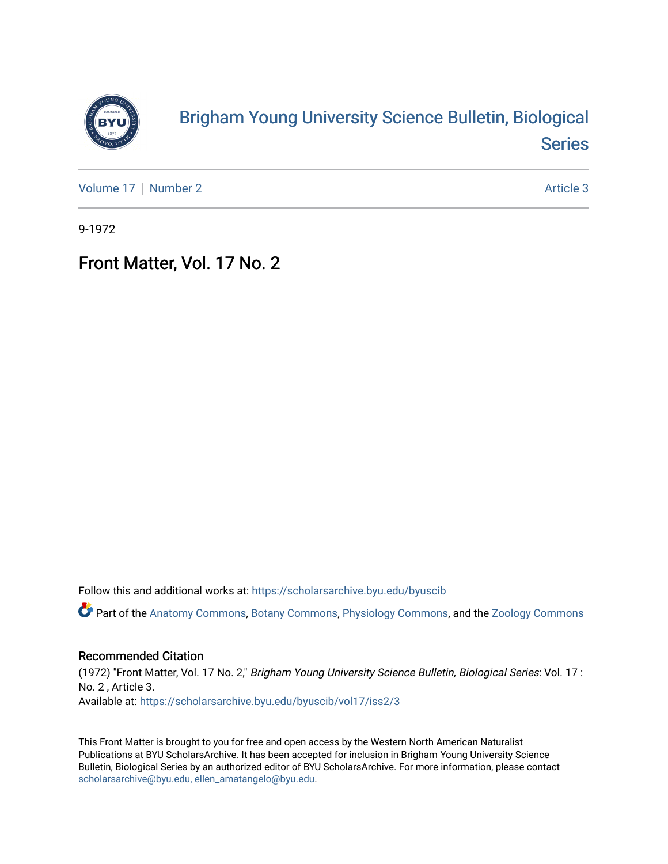

## [Brigham Young University Science Bulletin, Biological](https://scholarsarchive.byu.edu/byuscib)  [Series](https://scholarsarchive.byu.edu/byuscib)

[Volume 17](https://scholarsarchive.byu.edu/byuscib/vol17) | [Number 2](https://scholarsarchive.byu.edu/byuscib/vol17/iss2) Article 3

9-1972

## Front Matter, Vol. 17 No. 2

Follow this and additional works at: [https://scholarsarchive.byu.edu/byuscib](https://scholarsarchive.byu.edu/byuscib?utm_source=scholarsarchive.byu.edu%2Fbyuscib%2Fvol17%2Fiss2%2F3&utm_medium=PDF&utm_campaign=PDFCoverPages)

Part of the [Anatomy Commons,](http://network.bepress.com/hgg/discipline/903?utm_source=scholarsarchive.byu.edu%2Fbyuscib%2Fvol17%2Fiss2%2F3&utm_medium=PDF&utm_campaign=PDFCoverPages) [Botany Commons,](http://network.bepress.com/hgg/discipline/104?utm_source=scholarsarchive.byu.edu%2Fbyuscib%2Fvol17%2Fiss2%2F3&utm_medium=PDF&utm_campaign=PDFCoverPages) [Physiology Commons,](http://network.bepress.com/hgg/discipline/69?utm_source=scholarsarchive.byu.edu%2Fbyuscib%2Fvol17%2Fiss2%2F3&utm_medium=PDF&utm_campaign=PDFCoverPages) and the [Zoology Commons](http://network.bepress.com/hgg/discipline/81?utm_source=scholarsarchive.byu.edu%2Fbyuscib%2Fvol17%2Fiss2%2F3&utm_medium=PDF&utm_campaign=PDFCoverPages)

### Recommended Citation

(1972) "Front Matter, Vol. 17 No. 2," Brigham Young University Science Bulletin, Biological Series: Vol. 17 : No. 2 , Article 3. Available at: [https://scholarsarchive.byu.edu/byuscib/vol17/iss2/3](https://scholarsarchive.byu.edu/byuscib/vol17/iss2/3?utm_source=scholarsarchive.byu.edu%2Fbyuscib%2Fvol17%2Fiss2%2F3&utm_medium=PDF&utm_campaign=PDFCoverPages) 

This Front Matter is brought to you for free and open access by the Western North American Naturalist Publications at BYU ScholarsArchive. It has been accepted for inclusion in Brigham Young University Science Bulletin, Biological Series by an authorized editor of BYU ScholarsArchive. For more information, please contact [scholarsarchive@byu.edu, ellen\\_amatangelo@byu.edu](mailto:scholarsarchive@byu.edu,%20ellen_amatangelo@byu.edu).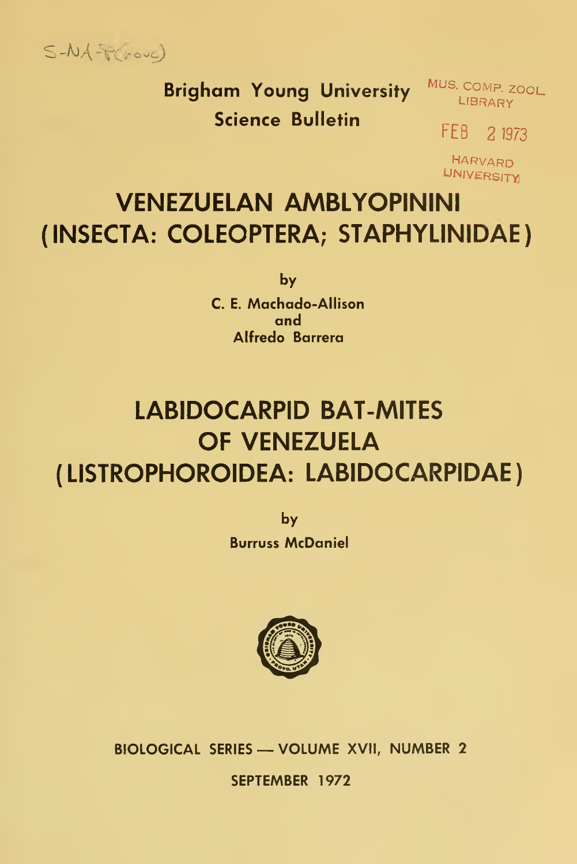$S-MA-F(\text{row})$ 

Brigham Young University MUS. COMP. ZOOL Science Bulletin

FEB 21973

HARVARD UNIVERSITY

# VENEZUELAN AMBLYOPININI (INSECTA: COLEOPTERA; STAPHYLINIDAE)

by C. E. Machado-Allison and Alfredo Barrera

# LABIDOCARPID BAT-MITES OF VENEZUELA ( LISTROPHOROIDEA: LABIDOCARPIDAE

by Burruss McDaniel



BIOLOGICAL SERIES — VOLUME XVII, NUMBER <sup>2</sup>

SEPTEMBER 1972